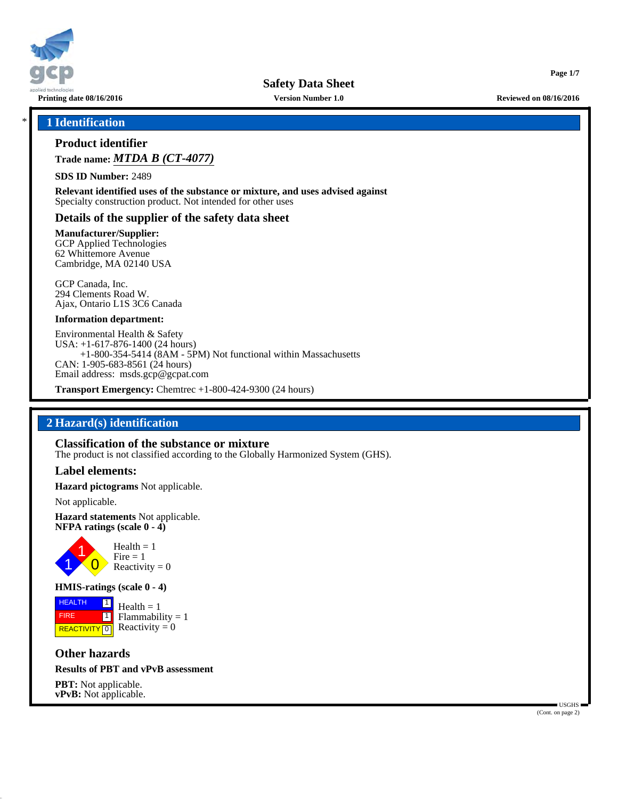

**Printing date 08/16/2016 Version Number 1.0 Reviewed on 08/16/2016**

**Page 1/7**

## \* **1 Identification**

# **Product identifier**

**Trade name:** *MTDA B (CT-4077)*

**SDS ID Number:** 2489

**Relevant identified uses of the substance or mixture, and uses advised against** Specialty construction product. Not intended for other uses

#### **Details of the supplier of the safety data sheet**

**Manufacturer/Supplier:**

GCP Applied Technologies 62 Whittemore Avenue Cambridge, MA 02140 USA

GCP Canada, Inc. 294 Clements Road W. Ajax, Ontario L1S 3C6 Canada

#### **Information department:**

Environmental Health & Safety USA: +1-617-876-1400 (24 hours) +1-800-354-5414 (8AM - 5PM) Not functional within Massachusetts CAN: 1-905-683-8561 (24 hours) Email address: msds.gcp@gcpat.com

**Transport Emergency:** Chemtrec +1-800-424-9300 (24 hours)

## **2 Hazard(s) identification**

#### **Classification of the substance or mixture**

The product is not classified according to the Globally Harmonized System (GHS).

#### **Label elements:**

**Hazard pictograms** Not applicable.

Not applicable.

**Hazard statements** Not applicable. **NFPA ratings (scale 0 - 4)**



#### **HMIS-ratings (scale 0 - 4)**

**HEALTH**  FIRE **REACTIVITY** 0 1  $\boxed{1}$  $Health = 1$  $Flammability = 1$ Reactivity  $= 0$ 

## **Other hazards**

#### **Results of PBT and vPvB assessment**

**PBT:** Not applicable.<br>**vPvB:** Not applicable. **vPvB:** Not applicable. Users a set of the set of the set of the set of the set of the set of the set of the set of the set of the set of the set of the set of the set of the set of the set of the set of the set of the set

(Cont. on page 2)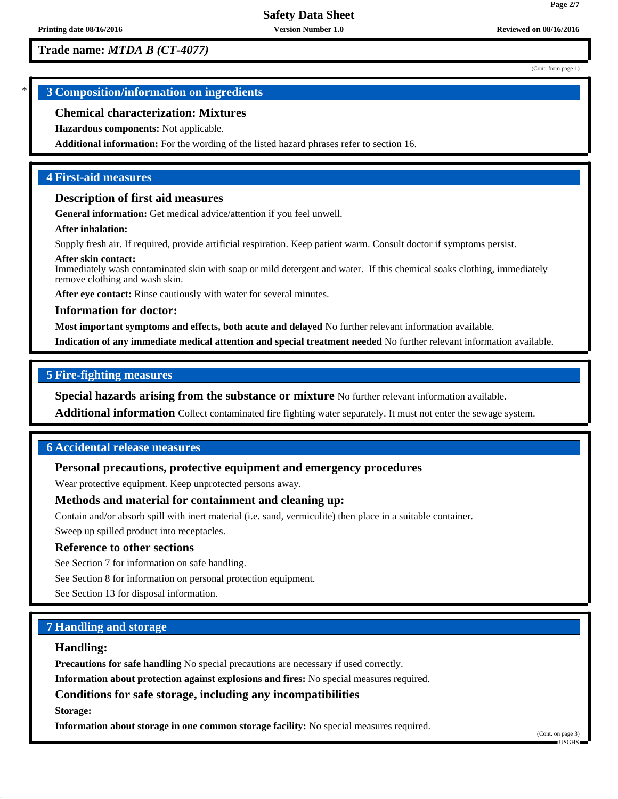# **Trade name:** *MTDA B (CT-4077)*

(Cont. from page 1)

**Page 2/7**

# \* **3 Composition/information on ingredients**

## **Chemical characterization: Mixtures**

**Hazardous components:** Not applicable.

**Additional information:** For the wording of the listed hazard phrases refer to section 16.

# **4 First-aid measures**

# **Description of first aid measures**

**General information:** Get medical advice/attention if you feel unwell.

#### **After inhalation:**

Supply fresh air. If required, provide artificial respiration. Keep patient warm. Consult doctor if symptoms persist.

#### **After skin contact:**

Immediately wash contaminated skin with soap or mild detergent and water. If this chemical soaks clothing, immediately remove clothing and wash skin.

After eye contact: Rinse cautiously with water for several minutes.

#### **Information for doctor:**

**Most important symptoms and effects, both acute and delayed** No further relevant information available.

**Indication of any immediate medical attention and special treatment needed** No further relevant information available.

## **5 Fire-fighting measures**

**Special hazards arising from the substance or mixture** No further relevant information available.

**Additional information** Collect contaminated fire fighting water separately. It must not enter the sewage system.

## **6 Accidental release measures**

## **Personal precautions, protective equipment and emergency procedures**

Wear protective equipment. Keep unprotected persons away.

## **Methods and material for containment and cleaning up:**

Contain and/or absorb spill with inert material (i.e. sand, vermiculite) then place in a suitable container.

Sweep up spilled product into receptacles.

## **Reference to other sections**

See Section 7 for information on safe handling.

See Section 8 for information on personal protection equipment.

See Section 13 for disposal information.

# **7 Handling and storage**

## **Handling:**

**Precautions for safe handling** No special precautions are necessary if used correctly.

**Information about protection against explosions and fires:** No special measures required.

## **Conditions for safe storage, including any incompatibilities**

**Storage:**

**Information about storage in one common storage facility:** No special measures required.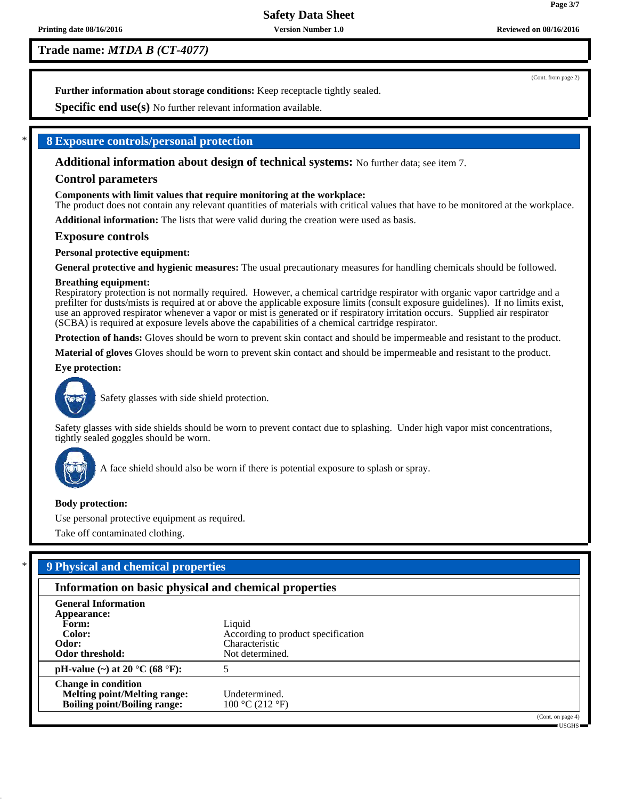**Trade name:** *MTDA B (CT-4077)*

(Cont. from page 2)

**Further information about storage conditions:** Keep receptacle tightly sealed.

**Specific end use(s)** No further relevant information available.

## \* **8 Exposure controls/personal protection**

**Additional information about design of technical systems:** No further data; see item 7.

## **Control parameters**

#### **Components with limit values that require monitoring at the workplace:**

The product does not contain any relevant quantities of materials with critical values that have to be monitored at the workplace.

**Additional information:** The lists that were valid during the creation were used as basis.

#### **Exposure controls**

#### **Personal protective equipment:**

**General protective and hygienic measures:** The usual precautionary measures for handling chemicals should be followed.

#### **Breathing equipment:**

Respiratory protection is not normally required. However, a chemical cartridge respirator with organic vapor cartridge and a prefilter for dusts/mists is required at or above the applicable exposure limits (consult exposure guidelines). If no limits exist, use an approved respirator whenever a vapor or mist is generated or if respiratory irritation occurs. Supplied air respirator (SCBA) is required at exposure levels above the capabilities of a chemical cartridge respirator.

**Protection of hands:** Gloves should be worn to prevent skin contact and should be impermeable and resistant to the product.

**Material of gloves** Gloves should be worn to prevent skin contact and should be impermeable and resistant to the product.

#### **Eye protection:**



Safety glasses with side shield protection.

Safety glasses with side shields should be worn to prevent contact due to splashing. Under high vapor mist concentrations, tightly sealed goggles should be worn.



A face shield should also be worn if there is potential exposure to splash or spray.

#### **Body protection:**

Use personal protective equipment as required.

Take off contaminated clothing.

| Information on basic physical and chemical properties |                                    |                   |  |  |
|-------------------------------------------------------|------------------------------------|-------------------|--|--|
| <b>General Information</b>                            |                                    |                   |  |  |
| Appearance:                                           |                                    |                   |  |  |
| Form:                                                 | Liquid                             |                   |  |  |
| Color:                                                | According to product specification |                   |  |  |
| Odor:                                                 | Characteristic                     |                   |  |  |
| Odor threshold:                                       | Not determined.                    |                   |  |  |
| pH-value (~) at 20 $^{\circ}$ C (68 $^{\circ}$ F):    |                                    |                   |  |  |
| <b>Change in condition</b>                            |                                    |                   |  |  |
| <b>Melting point/Melting range:</b>                   | Undetermined.                      |                   |  |  |
| <b>Boiling point/Boiling range:</b>                   | 100 °C (212 °F)                    |                   |  |  |
|                                                       |                                    | (Cont. on page 4) |  |  |

USGHS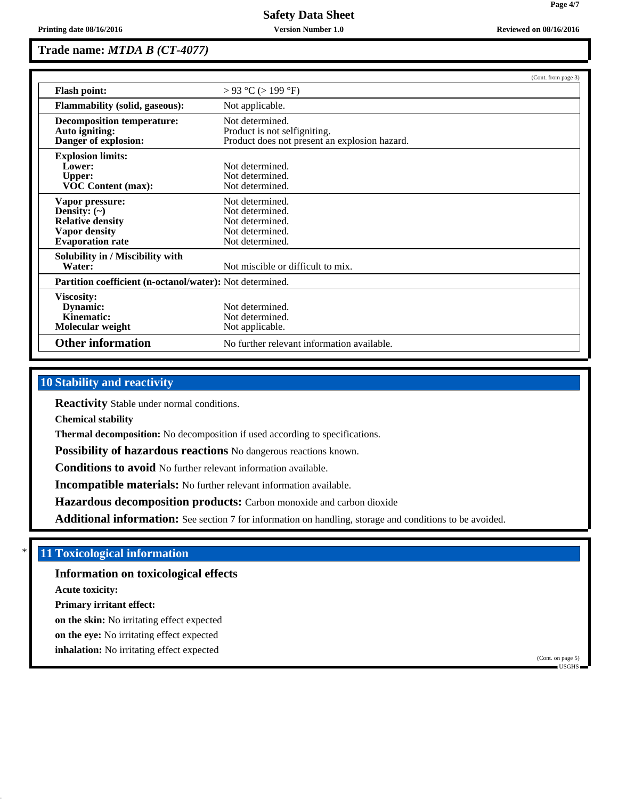**Page 4/7**

# **Trade name:** *MTDA B (CT-4077)*

|                                                                                                                    |                                                                                                  | (Cont. from page 3) |
|--------------------------------------------------------------------------------------------------------------------|--------------------------------------------------------------------------------------------------|---------------------|
| <b>Flash point:</b>                                                                                                | $> 93$ °C ( $> 199$ °F)                                                                          |                     |
| <b>Flammability (solid, gaseous):</b>                                                                              | Not applicable.                                                                                  |                     |
| <b>Decomposition temperature:</b><br>Auto igniting:<br>Danger of explosion:                                        | Not determined.<br>Product is not selfigniting.<br>Product does not present an explosion hazard. |                     |
| <b>Explosion limits:</b><br>Lower:<br><b>Upper:</b><br><b>VOC Content (max):</b>                                   | Not determined.<br>Not determined.<br>Not determined.                                            |                     |
| Vapor pressure:<br>Density: $(\sim)$<br><b>Relative density</b><br><b>Vapor density</b><br><b>Evaporation rate</b> | Not determined.<br>Not determined.<br>Not determined.<br>Not determined.<br>Not determined.      |                     |
| Solubility in / Miscibility with<br>Water:                                                                         | Not miscible or difficult to mix.                                                                |                     |
| Partition coefficient (n-octanol/water): Not determined.                                                           |                                                                                                  |                     |
| <b>Viscosity:</b><br>Dynamic:<br>Kinematic:<br>Molecular weight                                                    | Not determined.<br>Not determined.<br>Not applicable.                                            |                     |
| <b>Other information</b>                                                                                           | No further relevant information available.                                                       |                     |

# **10 Stability and reactivity**

**Reactivity** Stable under normal conditions.

**Chemical stability**

**Thermal decomposition:** No decomposition if used according to specifications.

**Possibility of hazardous reactions** No dangerous reactions known.

**Conditions to avoid** No further relevant information available.

**Incompatible materials:** No further relevant information available.

**Hazardous decomposition products:** Carbon monoxide and carbon dioxide

Additional information: See section 7 for information on handling, storage and conditions to be avoided.

## **11 Toxicological information**

**Information on toxicological effects**

**Acute toxicity:**

**Primary irritant effect:**

**on the skin:** No irritating effect expected

**on the eye:** No irritating effect expected

**inhalation:** No irritating effect expected

(Cont. on page 5)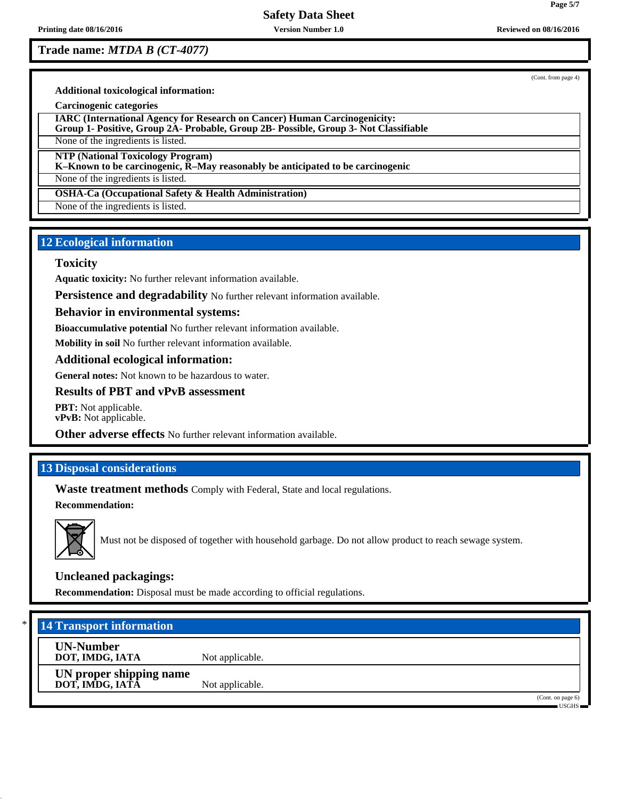**Trade name:** *MTDA B (CT-4077)*

(Cont. from page 4)

**Page 5/7**

**Additional toxicological information:**

**Carcinogenic categories**

**IARC (International Agency for Research on Cancer) Human Carcinogenicity: Group 1- Positive, Group 2A- Probable, Group 2B- Possible, Group 3- Not Classifiable**

None of the ingredients is listed.

**NTP (National Toxicology Program)**

**K–Known to be carcinogenic, R–May reasonably be anticipated to be carcinogenic**

None of the ingredients is listed.

**OSHA-Ca (Occupational Safety & Health Administration)**

None of the ingredients is listed.

# **12 Ecological information**

## **Toxicity**

**Aquatic toxicity:** No further relevant information available.

**Persistence and degradability** No further relevant information available.

## **Behavior in environmental systems:**

**Bioaccumulative potential** No further relevant information available.

**Mobility in soil** No further relevant information available.

## **Additional ecological information:**

**General notes:** Not known to be hazardous to water.

## **Results of PBT and vPvB assessment**

**PBT:** Not applicable. **vPvB:** Not applicable.

**Other adverse effects** No further relevant information available.

# **13 Disposal considerations**

**Waste treatment methods** Comply with Federal, State and local regulations. **Recommendation:**



Must not be disposed of together with household garbage. Do not allow product to reach sewage system.

## **Uncleaned packagings:**

**Recommendation:** Disposal must be made according to official regulations.

# \* **14 Transport information**

**UN-Number**

**DOT, IMDG, IATA** Not applicable.

**UN proper shipping name DOT, IMDG, IATA** Not applicable.

(Cont. on page 6) USGHS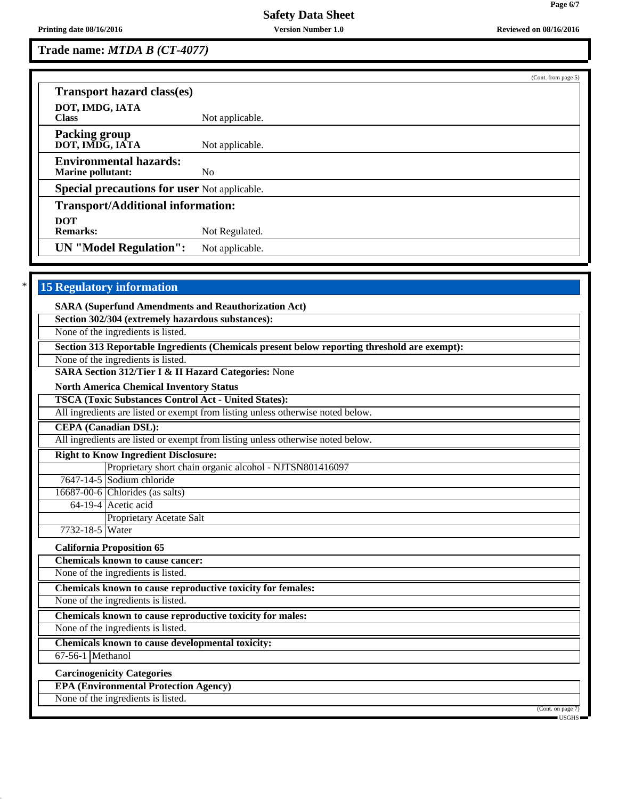**Trade name:** *MTDA B (CT-4077)*

|                                                           |                 | (Cont. from page 5) |
|-----------------------------------------------------------|-----------------|---------------------|
| <b>Transport hazard class(es)</b>                         |                 |                     |
| DOT, IMDG, IATA<br><b>Class</b>                           | Not applicable. |                     |
| <b>Packing group</b><br>DOT, IMDG, IATA                   | Not applicable. |                     |
| <b>Environmental hazards:</b><br><b>Marine pollutant:</b> | N <sub>0</sub>  |                     |
| <b>Special precautions for user Not applicable.</b>       |                 |                     |
| <b>Transport/Additional information:</b>                  |                 |                     |
| <b>DOT</b>                                                |                 |                     |
| <b>Remarks:</b>                                           | Not Regulated.  |                     |
| <b>UN</b> "Model Regulation":                             | Not applicable. |                     |

# **15 Regulatory information**

**SARA (Superfund Amendments and Reauthorization Act)**

**Section 302/304 (extremely hazardous substances):**

None of the ingredients is listed.

**Section 313 Reportable Ingredients (Chemicals present below reporting threshold are exempt):**

None of the ingredients is listed.

**SARA Section 312/Tier I & II Hazard Categories:** None

**North America Chemical Inventory Status**

**TSCA (Toxic Substances Control Act - United States):**

All ingredients are listed or exempt from listing unless otherwise noted below.

**CEPA (Canadian DSL):**

All ingredients are listed or exempt from listing unless otherwise noted below.

**Right to Know Ingredient Disclosure:** Proprietary short chain organic alcohol - NJTSN801416097

7647-14-5 Sodium chloride

16687-00-6 Chlorides (as salts)

64-19-4 Acetic acid Proprietary Acetate Salt

7732-18-5 Water

**California Proposition 65 Chemicals known to cause cancer:**

None of the ingredients is listed.

**Chemicals known to cause reproductive toxicity for females:**

None of the ingredients is listed.

**Chemicals known to cause reproductive toxicity for males:** None of the ingredients is listed.

**Chemicals known to cause developmental toxicity:**

67-56-1 Methanol

**Carcinogenicity Categories**

**EPA (Environmental Protection Agency)**

None of the ingredients is listed.

(Cont. on page 7)

USGHS